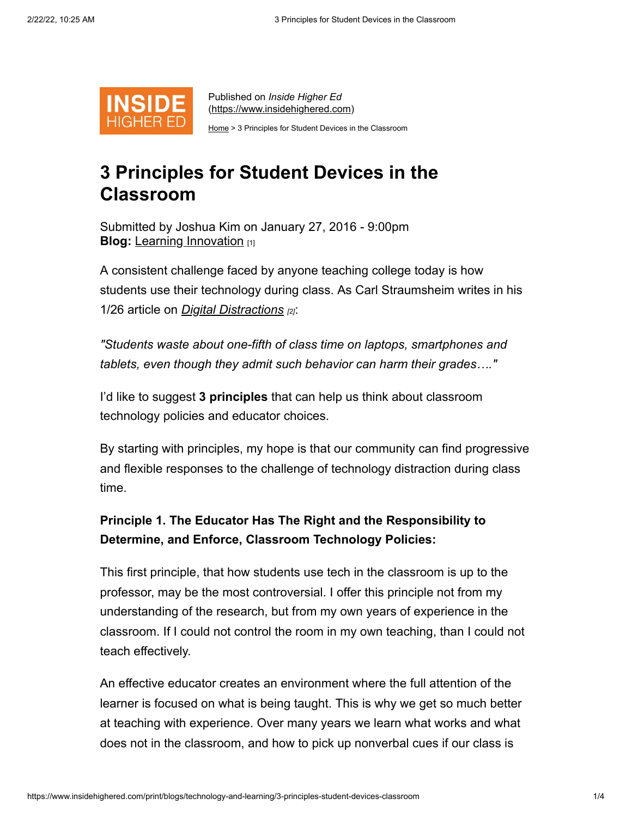

Published on *Inside Higher Ed* [\(https://www.insidehighered.com](https://www.insidehighered.com/))

[Home](https://www.insidehighered.com/) > 3 Principles for Student Devices in the Classroom

# **3 Principles for Student Devices in the Classroom**

**Blog:** [Learning Innovation](https://www.insidehighered.com/blogs/learning-innovation) [1] Submitted by Joshua Kim on January 27, 2016 - 9:00pm

A consistent challenge faced by anyone teaching college today is how students use their technology during class. As Carl Straumsheim writes in his 1/26 article on *[Digital Distractions](https://www.insidehighered.com/news/2016/01/26/study-use-devices-class-nonclass-purposes-rise) [2]*:

*"Students waste about one-fifth of class time on laptops, smartphones and tablets, even though they admit such behavior can harm their grades…."*

I'd like to suggest **3 principles** that can help us think about classroom technology policies and educator choices.

By starting with principles, my hope is that our community can find progressive and flexible responses to the challenge of technology distraction during class time.

## **Principle 1. The Educator Has The Right and the Responsibility to Determine, and Enforce, Classroom Technology Policies:**

This first principle, that how students use tech in the classroom is up to the professor, may be the most controversial. I offer this principle not from my understanding of the research, but from my own years of experience in the classroom. If I could not control the room in my own teaching, than I could not teach effectively.

An effective educator creates an environment where the full attention of the learner is focused on what is being taught. This is why we get so much better at teaching with experience. Over many years we learn what works and what does not in the classroom, and how to pick up nonverbal cues if our class is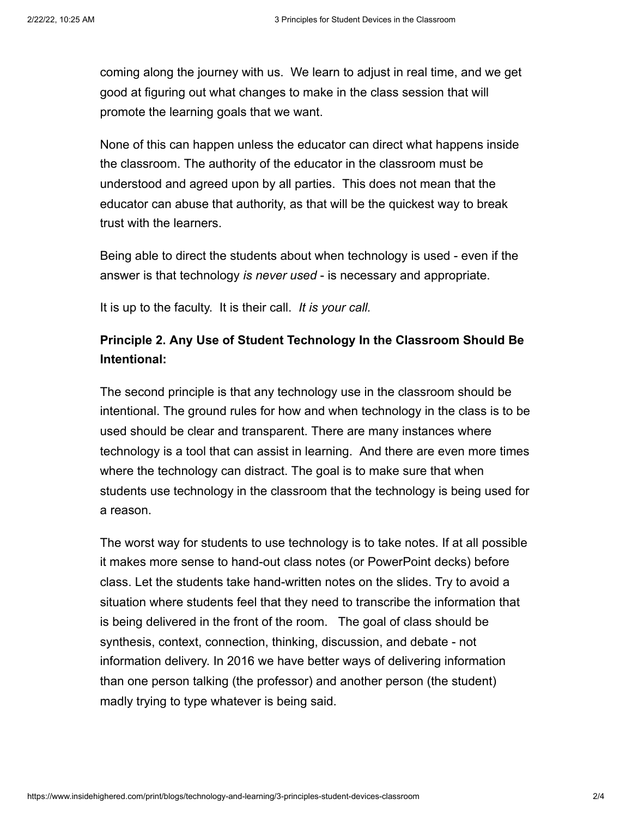coming along the journey with us. We learn to adjust in real time, and we get good at figuring out what changes to make in the class session that will promote the learning goals that we want.

None of this can happen unless the educator can direct what happens inside the classroom. The authority of the educator in the classroom must be understood and agreed upon by all parties. This does not mean that the educator can abuse that authority, as that will be the quickest way to break trust with the learners.

Being able to direct the students about when technology is used - even if the answer is that technology *is never used* - is necessary and appropriate.

It is up to the faculty. It is their call. *It is your call.*

### **Principle 2. Any Use of Student Technology In the Classroom Should Be Intentional:**

The second principle is that any technology use in the classroom should be intentional. The ground rules for how and when technology in the class is to be used should be clear and transparent. There are many instances where technology is a tool that can assist in learning. And there are even more times where the technology can distract. The goal is to make sure that when students use technology in the classroom that the technology is being used for a reason.

The worst way for students to use technology is to take notes. If at all possible it makes more sense to hand-out class notes (or PowerPoint decks) before class. Let the students take hand-written notes on the slides. Try to avoid a situation where students feel that they need to transcribe the information that is being delivered in the front of the room. The goal of class should be synthesis, context, connection, thinking, discussion, and debate - not information delivery. In 2016 we have better ways of delivering information than one person talking (the professor) and another person (the student) madly trying to type whatever is being said.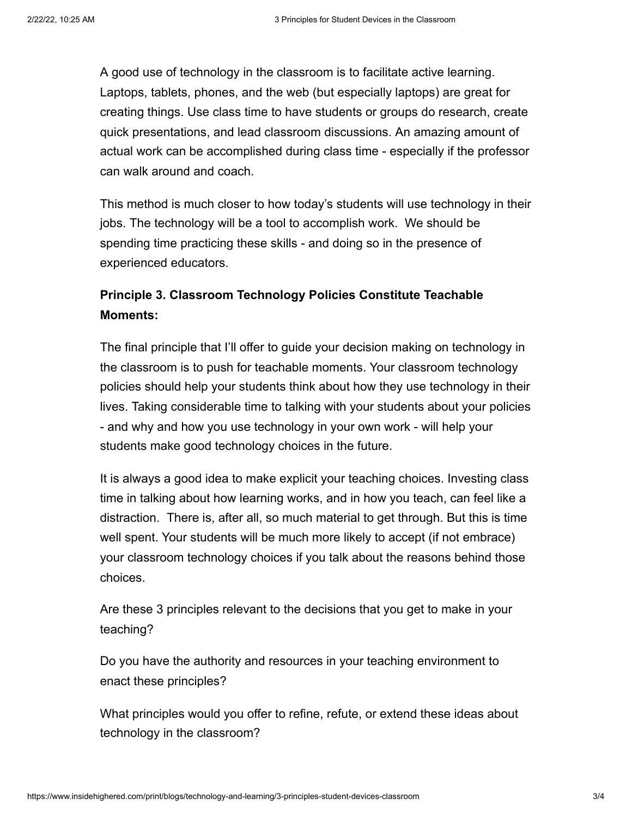A good use of technology in the classroom is to facilitate active learning. Laptops, tablets, phones, and the web (but especially laptops) are great for creating things. Use class time to have students or groups do research, create quick presentations, and lead classroom discussions. An amazing amount of actual work can be accomplished during class time - especially if the professor can walk around and coach.

This method is much closer to how today's students will use technology in their jobs. The technology will be a tool to accomplish work. We should be spending time practicing these skills - and doing so in the presence of experienced educators.

#### **Principle 3. Classroom Technology Policies Constitute Teachable Moments:**

The final principle that I'll offer to guide your decision making on technology in the classroom is to push for teachable moments. Your classroom technology policies should help your students think about how they use technology in their lives. Taking considerable time to talking with your students about your policies - and why and how you use technology in your own work - will help your students make good technology choices in the future.

It is always a good idea to make explicit your teaching choices. Investing class time in talking about how learning works, and in how you teach, can feel like a distraction. There is, after all, so much material to get through. But this is time well spent. Your students will be much more likely to accept (if not embrace) your classroom technology choices if you talk about the reasons behind those choices.

Are these 3 principles relevant to the decisions that you get to make in your teaching?

Do you have the authority and resources in your teaching environment to enact these principles?

What principles would you offer to refine, refute, or extend these ideas about technology in the classroom?